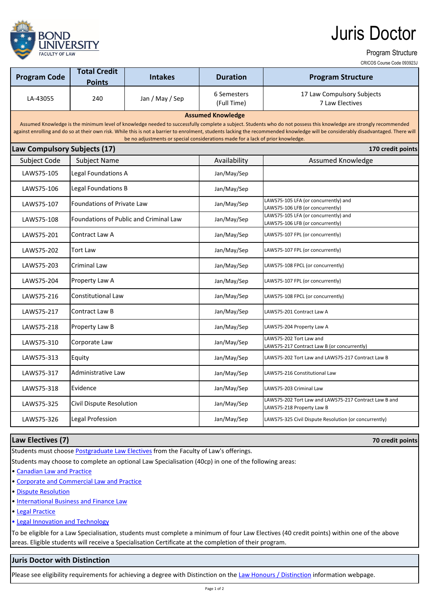

## Juris Doctor

Program Structure

CRICOS Course Code 093923J

| <b>Program Code</b>                                                                                                                                                                                                                                                                                                                                                                                                                                                     | <b>Total Credit</b><br><b>Points</b> | <b>Intakes</b>                                | <b>Duration</b>            | <b>Program Structure</b>                                                           |  |  |  |
|-------------------------------------------------------------------------------------------------------------------------------------------------------------------------------------------------------------------------------------------------------------------------------------------------------------------------------------------------------------------------------------------------------------------------------------------------------------------------|--------------------------------------|-----------------------------------------------|----------------------------|------------------------------------------------------------------------------------|--|--|--|
| LA-43055                                                                                                                                                                                                                                                                                                                                                                                                                                                                | 240                                  | Jan / May / Sep                               | 6 Semesters<br>(Full Time) | 17 Law Compulsory Subjects<br>7 Law Electives                                      |  |  |  |
| <b>Assumed Knowledge</b><br>Assumed Knowledge is the minimum level of knowledge needed to successfully complete a subject. Students who do not possess this knowledge are strongly recommended<br>against enrolling and do so at their own risk. While this is not a barrier to enrolment, students lacking the recommended knowledge will be considerably disadvantaged. There will<br>be no adjustments or special considerations made for a lack of prior knowledge. |                                      |                                               |                            |                                                                                    |  |  |  |
| Law Compulsory Subjects (17)<br>170 credit points                                                                                                                                                                                                                                                                                                                                                                                                                       |                                      |                                               |                            |                                                                                    |  |  |  |
| Subject Code                                                                                                                                                                                                                                                                                                                                                                                                                                                            | <b>Subject Name</b>                  |                                               | Availability               | <b>Assumed Knowledge</b>                                                           |  |  |  |
| LAWS75-105                                                                                                                                                                                                                                                                                                                                                                                                                                                              | Legal Foundations A                  |                                               | Jan/May/Sep                |                                                                                    |  |  |  |
| LAWS75-106                                                                                                                                                                                                                                                                                                                                                                                                                                                              | Legal Foundations B                  |                                               | Jan/May/Sep                |                                                                                    |  |  |  |
| LAWS75-107                                                                                                                                                                                                                                                                                                                                                                                                                                                              | <b>Foundations of Private Law</b>    |                                               | Jan/May/Sep                | LAWS75-105 LFA (or concurrently) and<br>LAWS75-106 LFB (or concurrently)           |  |  |  |
| LAWS75-108                                                                                                                                                                                                                                                                                                                                                                                                                                                              |                                      | <b>Foundations of Public and Criminal Law</b> | Jan/May/Sep                | LAWS75-105 LFA (or concurrently) and<br>LAWS75-106 LFB (or concurrently)           |  |  |  |
| LAWS75-201                                                                                                                                                                                                                                                                                                                                                                                                                                                              | Contract Law A                       |                                               | Jan/May/Sep                | LAWS75-107 FPL (or concurrently)                                                   |  |  |  |
| LAWS75-202                                                                                                                                                                                                                                                                                                                                                                                                                                                              | Tort Law                             |                                               | Jan/May/Sep                | LAWS75-107 FPL (or concurrently)                                                   |  |  |  |
| LAWS75-203                                                                                                                                                                                                                                                                                                                                                                                                                                                              | Criminal Law                         |                                               | Jan/May/Sep                | LAWS75-108 FPCL (or concurrently)                                                  |  |  |  |
| LAWS75-204                                                                                                                                                                                                                                                                                                                                                                                                                                                              | Property Law A                       |                                               | Jan/May/Sep                | LAWS75-107 FPL (or concurrently)                                                   |  |  |  |
| LAWS75-216                                                                                                                                                                                                                                                                                                                                                                                                                                                              | <b>Constitutional Law</b>            |                                               | Jan/May/Sep                | LAWS75-108 FPCL (or concurrently)                                                  |  |  |  |
| LAWS75-217                                                                                                                                                                                                                                                                                                                                                                                                                                                              | Contract Law B                       |                                               | Jan/May/Sep                | LAWS75-201 Contract Law A                                                          |  |  |  |
| LAWS75-218                                                                                                                                                                                                                                                                                                                                                                                                                                                              | Property Law B                       |                                               | Jan/May/Sep                | LAWS75-204 Property Law A                                                          |  |  |  |
| LAWS75-310                                                                                                                                                                                                                                                                                                                                                                                                                                                              | Corporate Law                        |                                               | Jan/May/Sep                | LAWS75-202 Tort Law and<br>LAWS75-217 Contract Law B (or concurrently)             |  |  |  |
| LAWS75-313                                                                                                                                                                                                                                                                                                                                                                                                                                                              | Equity                               |                                               | Jan/May/Sep                | LAWS75-202 Tort Law and LAWS75-217 Contract Law B                                  |  |  |  |
| LAWS75-317                                                                                                                                                                                                                                                                                                                                                                                                                                                              | Administrative Law                   |                                               | Jan/May/Sep                | LAWS75-216 Constitutional Law                                                      |  |  |  |
| LAWS75-318                                                                                                                                                                                                                                                                                                                                                                                                                                                              | Evidence                             |                                               | Jan/May/Sep                | LAWS75-203 Criminal Law                                                            |  |  |  |
| LAWS75-325                                                                                                                                                                                                                                                                                                                                                                                                                                                              | Civil Dispute Resolution             |                                               | Jan/May/Sep                | LAWS75-202 Tort Law and LAWS75-217 Contract Law B and<br>LAWS75-218 Property Law B |  |  |  |
| LAWS75-326                                                                                                                                                                                                                                                                                                                                                                                                                                                              | Legal Profession                     |                                               | Jan/May/Sep                | LAWS75-325 Civil Dispute Resolution (or concurrently)                              |  |  |  |

## **Law Electives (7)**

Students must choose Postgraduate Law Electives from the Faculty of Law's offerings.

Students may choose to complete an optional Law Specialisation (40cp) in one of the following areas:

• Canadian Law and Practice

- Corporate and Commercial Law and Practice
- Dispute Resolution
- International Business and Finance Law
- Legal Practice
- Legal Innovation and Technology

To be eligible for a Law Specialisation, students must complete a minimum of four Law Electives (40 credit points) within one of the above areas. Eligible students will receive a Specialisation Certificate at the completion of their program.

## **Juris Doctor with Distinction**

Please see eligibility requirements for achieving a degree with Distinction on the Law Honours / Distinction information webpage.

**70 credit points**